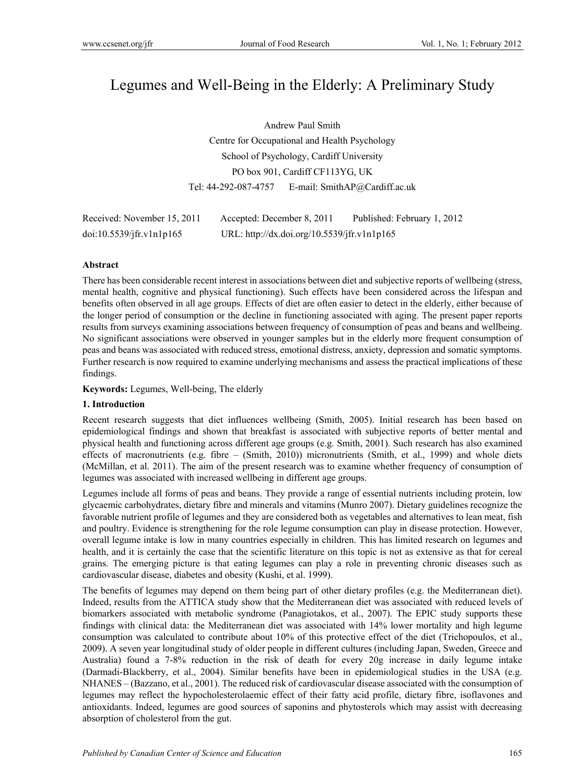# Legumes and Well-Being in the Elderly: A Preliminary Study

Andrew Paul Smith Centre for Occupational and Health Psychology School of Psychology, Cardiff University PO box 901, Cardiff CF113YG, UK Tel: 44-292-087-4757 E-mail: SmithAP@Cardiff.ac.uk

| Received: November 15, 2011 | Accepted: December 8, 2011                  | Published: February 1, 2012 |
|-----------------------------|---------------------------------------------|-----------------------------|
| doi:10.5539/jfr.v1n1p165    | URL: http://dx.doi.org/10.5539/jfr.v1n1p165 |                             |

#### **Abstract**

There has been considerable recent interest in associations between diet and subjective reports of wellbeing (stress, mental health, cognitive and physical functioning). Such effects have been considered across the lifespan and benefits often observed in all age groups. Effects of diet are often easier to detect in the elderly, either because of the longer period of consumption or the decline in functioning associated with aging. The present paper reports results from surveys examining associations between frequency of consumption of peas and beans and wellbeing. No significant associations were observed in younger samples but in the elderly more frequent consumption of peas and beans was associated with reduced stress, emotional distress, anxiety, depression and somatic symptoms. Further research is now required to examine underlying mechanisms and assess the practical implications of these findings.

**Keywords:** Legumes, Well-being, The elderly

## **1. Introduction**

Recent research suggests that diet influences wellbeing (Smith, 2005). Initial research has been based on epidemiological findings and shown that breakfast is associated with subjective reports of better mental and physical health and functioning across different age groups (e.g. Smith, 2001). Such research has also examined effects of macronutrients (e.g. fibre – (Smith, 2010)) micronutrients (Smith, et al., 1999) and whole diets (McMillan, et al. 2011). The aim of the present research was to examine whether frequency of consumption of legumes was associated with increased wellbeing in different age groups.

Legumes include all forms of peas and beans. They provide a range of essential nutrients including protein, low glycaemic carbohydrates, dietary fibre and minerals and vitamins (Munro 2007). Dietary guidelines recognize the favorable nutrient profile of legumes and they are considered both as vegetables and alternatives to lean meat, fish and poultry. Evidence is strengthening for the role legume consumption can play in disease protection. However, overall legume intake is low in many countries especially in children. This has limited research on legumes and health, and it is certainly the case that the scientific literature on this topic is not as extensive as that for cereal grains. The emerging picture is that eating legumes can play a role in preventing chronic diseases such as cardiovascular disease, diabetes and obesity (Kushi, et al. 1999).

The benefits of legumes may depend on them being part of other dietary profiles (e.g. the Mediterranean diet). Indeed, results from the ATTICA study show that the Mediterranean diet was associated with reduced levels of biomarkers associated with metabolic syndrome (Panagiotakos, et al., 2007). The EPIC study supports these findings with clinical data: the Mediterranean diet was associated with 14% lower mortality and high legume consumption was calculated to contribute about 10% of this protective effect of the diet (Trichopoulos, et al., 2009). A seven year longitudinal study of older people in different cultures (including Japan, Sweden, Greece and Australia) found a 7-8% reduction in the risk of death for every 20g increase in daily legume intake (Darmadi-Blackberry, et al., 2004). Similar benefits have been in epidemiological studies in the USA (e.g. NHANES – (Bazzano, et al., 2001). The reduced risk of cardiovascular disease associated with the consumption of legumes may reflect the hypocholesterolaemic effect of their fatty acid profile, dietary fibre, isoflavones and antioxidants. Indeed, legumes are good sources of saponins and phytosterols which may assist with decreasing absorption of cholesterol from the gut.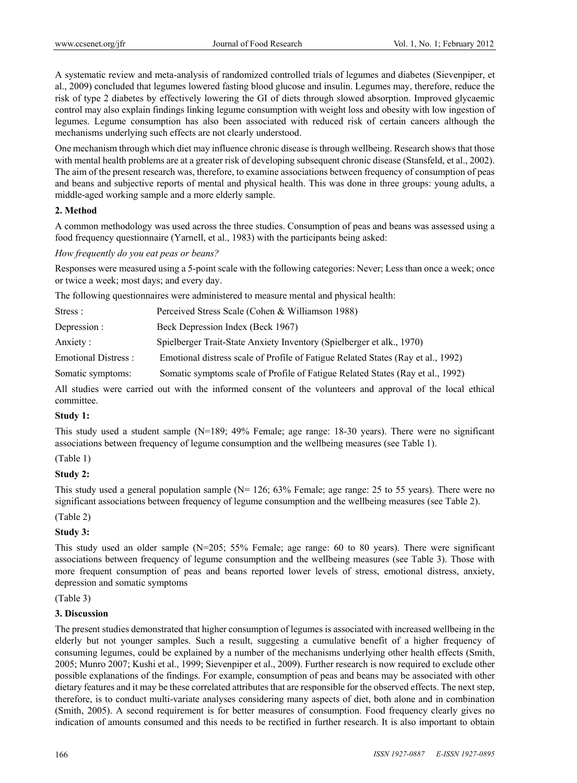A systematic review and meta-analysis of randomized controlled trials of legumes and diabetes (Sievenpiper, et al., 2009) concluded that legumes lowered fasting blood glucose and insulin. Legumes may, therefore, reduce the risk of type 2 diabetes by effectively lowering the GI of diets through slowed absorption. Improved glycaemic control may also explain findings linking legume consumption with weight loss and obesity with low ingestion of legumes. Legume consumption has also been associated with reduced risk of certain cancers although the mechanisms underlying such effects are not clearly understood.

One mechanism through which diet may influence chronic disease is through wellbeing. Research shows that those with mental health problems are at a greater risk of developing subsequent chronic disease (Stansfeld, et al., 2002). The aim of the present research was, therefore, to examine associations between frequency of consumption of peas and beans and subjective reports of mental and physical health. This was done in three groups: young adults, a middle-aged working sample and a more elderly sample.

## **2. Method**

A common methodology was used across the three studies. Consumption of peas and beans was assessed using a food frequency questionnaire (Yarnell, et al., 1983) with the participants being asked:

## *How frequently do you eat peas or beans?*

Responses were measured using a 5-point scale with the following categories: Never; Less than once a week; once or twice a week; most days; and every day.

The following questionnaires were administered to measure mental and physical health:

| Stress :                   | Perceived Stress Scale (Cohen & Williamson 1988)                                 |
|----------------------------|----------------------------------------------------------------------------------|
| Depression :               | Beck Depression Index (Beck 1967)                                                |
| Anxiety:                   | Spielberger Trait-State Anxiety Inventory (Spielberger et alk., 1970)            |
| <b>Emotional Distress:</b> | Emotional distress scale of Profile of Fatigue Related States (Ray et al., 1992) |
| Somatic symptoms:          | Somatic symptoms scale of Profile of Fatigue Related States (Ray et al., 1992)   |

All studies were carried out with the informed consent of the volunteers and approval of the local ethical committee.

## **Study 1:**

This study used a student sample (N=189; 49% Female; age range: 18-30 years). There were no significant associations between frequency of legume consumption and the wellbeing measures (see Table 1).

## (Table 1)

## **Study 2:**

This study used a general population sample (N= 126; 63% Female; age range: 25 to 55 years). There were no significant associations between frequency of legume consumption and the wellbeing measures (see Table 2).

## (Table 2)

## **Study 3:**

This study used an older sample (N=205; 55% Female; age range: 60 to 80 years). There were significant associations between frequency of legume consumption and the wellbeing measures (see Table 3). Those with more frequent consumption of peas and beans reported lower levels of stress, emotional distress, anxiety, depression and somatic symptoms

(Table 3)

## **3. Discussion**

The present studies demonstrated that higher consumption of legumes is associated with increased wellbeing in the elderly but not younger samples. Such a result, suggesting a cumulative benefit of a higher frequency of consuming legumes, could be explained by a number of the mechanisms underlying other health effects (Smith, 2005; Munro 2007; Kushi et al., 1999; Sievenpiper et al., 2009). Further research is now required to exclude other possible explanations of the findings. For example, consumption of peas and beans may be associated with other dietary features and it may be these correlated attributes that are responsible for the observed effects. The next step, therefore, is to conduct multi-variate analyses considering many aspects of diet, both alone and in combination (Smith, 2005). A second requirement is for better measures of consumption. Food frequency clearly gives no indication of amounts consumed and this needs to be rectified in further research. It is also important to obtain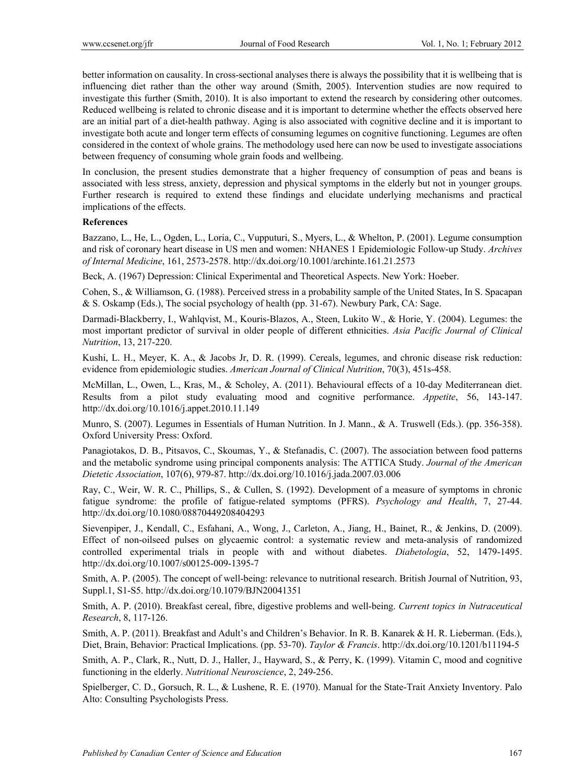better information on causality. In cross-sectional analyses there is always the possibility that it is wellbeing that is influencing diet rather than the other way around (Smith, 2005). Intervention studies are now required to investigate this further (Smith, 2010). It is also important to extend the research by considering other outcomes. Reduced wellbeing is related to chronic disease and it is important to determine whether the effects observed here are an initial part of a diet-health pathway. Aging is also associated with cognitive decline and it is important to investigate both acute and longer term effects of consuming legumes on cognitive functioning. Legumes are often considered in the context of whole grains. The methodology used here can now be used to investigate associations between frequency of consuming whole grain foods and wellbeing.

In conclusion, the present studies demonstrate that a higher frequency of consumption of peas and beans is associated with less stress, anxiety, depression and physical symptoms in the elderly but not in younger groups. Further research is required to extend these findings and elucidate underlying mechanisms and practical implications of the effects.

#### **References**

Bazzano, L., He, L., Ogden, L., Loria, C., Vupputuri, S., Myers, L., & Whelton, P. (2001). Legume consumption and risk of coronary heart disease in US men and women: NHANES 1 Epidemiologic Follow-up Study. *Archives of Internal Medicine*, 161, 2573-2578. http://dx.doi.org/10.1001/archinte.161.21.2573

Beck, A. (1967) Depression: Clinical Experimental and Theoretical Aspects. New York: Hoeber.

Cohen, S., & Williamson, G. (1988). Perceived stress in a probability sample of the United States, In S. Spacapan & S. Oskamp (Eds.), The social psychology of health (pp. 31-67). Newbury Park, CA: Sage.

Darmadi-Blackberry, I., Wahlqvist, M., Kouris-Blazos, A., Steen, Lukito W., & Horie, Y. (2004). Legumes: the most important predictor of survival in older people of different ethnicities. *Asia Pacific Journal of Clinical Nutrition*, 13, 217-220.

Kushi, L. H., Meyer, K. A., & Jacobs Jr, D. R. (1999). Cereals, legumes, and chronic disease risk reduction: evidence from epidemiologic studies. *American Journal of Clinical Nutrition*, 70(3), 451s-458.

McMillan, L., Owen, L., Kras, M., & Scholey, A. (2011). Behavioural effects of a 10-day Mediterranean diet. Results from a pilot study evaluating mood and cognitive performance. *Appetite*, 56, 143-147. http://dx.doi.org/10.1016/j.appet.2010.11.149

Munro, S. (2007). Legumes in Essentials of Human Nutrition. In J. Mann., & A. Truswell (Eds.). (pp. 356-358). Oxford University Press: Oxford.

Panagiotakos, D. B., Pitsavos, C., Skoumas, Y., & Stefanadis, C. (2007). The association between food patterns and the metabolic syndrome using principal components analysis: The ATTICA Study. *Journal of the American Dietetic Association*, 107(6), 979-87. http://dx.doi.org/10.1016/j.jada.2007.03.006

Ray, C., Weir, W. R. C., Phillips, S., & Cullen, S. (1992). Development of a measure of symptoms in chronic fatigue syndrome: the profile of fatigue-related symptoms (PFRS). *Psychology and Health*, 7, 27-44. http://dx.doi.org/10.1080/08870449208404293

Sievenpiper, J., Kendall, C., Esfahani, A., Wong, J., Carleton, A., Jiang, H., Bainet, R., & Jenkins, D. (2009). Effect of non-oilseed pulses on glycaemic control: a systematic review and meta-analysis of randomized controlled experimental trials in people with and without diabetes. *Diabetologia*, 52, 1479-1495. http://dx.doi.org/10.1007/s00125-009-1395-7

Smith, A. P. (2005). The concept of well-being: relevance to nutritional research. British Journal of Nutrition, 93, Suppl.1, S1-S5. http://dx.doi.org/10.1079/BJN20041351

Smith, A. P. (2010). Breakfast cereal, fibre, digestive problems and well-being. *Current topics in Nutraceutical Research*, 8, 117-126.

Smith, A. P. (2011). Breakfast and Adult's and Children's Behavior. In R. B. Kanarek & H. R. Lieberman. (Eds.), Diet, Brain, Behavior: Practical Implications. (pp. 53-70). *Taylor & Francis*. http://dx.doi.org/10.1201/b11194-5

Smith, A. P., Clark, R., Nutt, D. J., Haller, J., Hayward, S., & Perry, K. (1999). Vitamin C, mood and cognitive functioning in the elderly. *Nutritional Neuroscience*, 2, 249-256.

Spielberger, C. D., Gorsuch, R. L., & Lushene, R. E. (1970). Manual for the State-Trait Anxiety Inventory. Palo Alto: Consulting Psychologists Press.